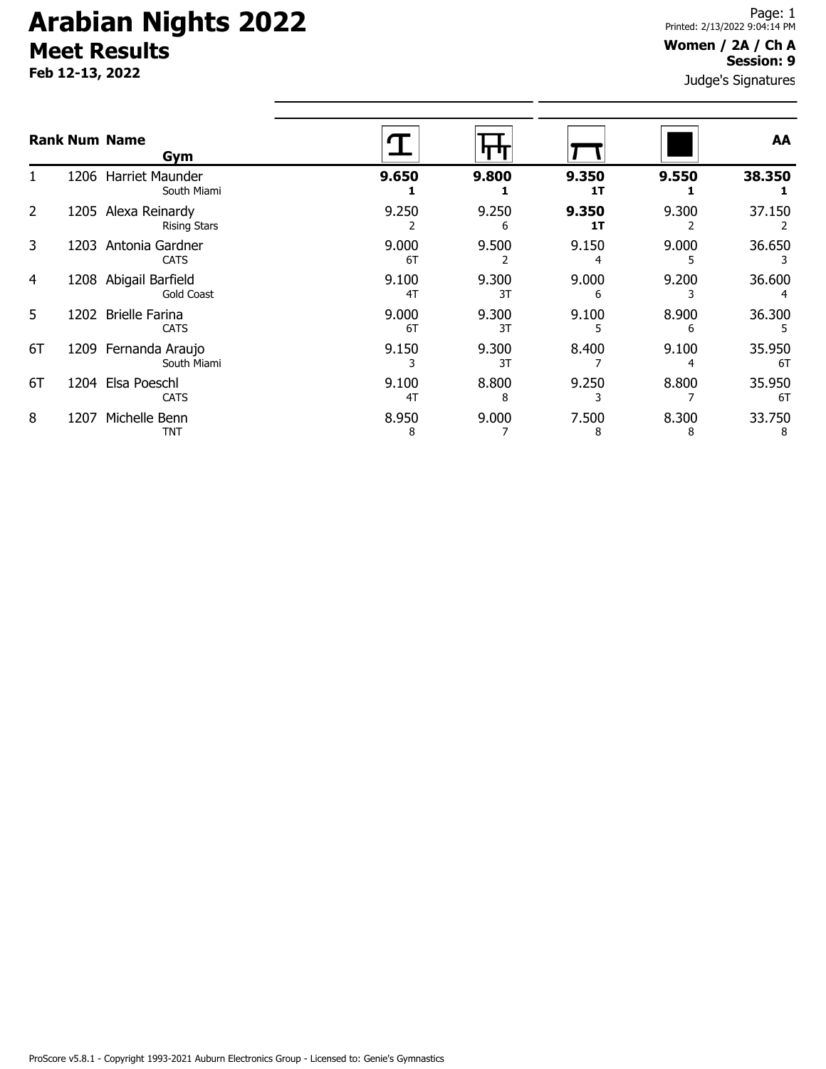**Feb 12-13, 2022**

#### **Women / 2A / Ch A Session: 9**

|                |      | <b>Rank Num Name</b><br>Gym           |             |             |             |            | AA           |
|----------------|------|---------------------------------------|-------------|-------------|-------------|------------|--------------|
|                | 1206 | Harriet Maunder<br>South Miami        | 9.650       | 9.800       | 9.350<br>1T | 9.550      | 38.350       |
| $\overline{2}$ | 1205 | Alexa Reinardy<br><b>Rising Stars</b> | 9.250       | 9.250<br>6  | 9.350<br>1T | 9.300      | 37.150       |
| 3              | 1203 | Antonia Gardner<br><b>CATS</b>        | 9.000<br>6T | 9.500       | 9.150       | 9.000      | 36.650       |
| 4              | 1208 | Abigail Barfield<br><b>Gold Coast</b> | 9.100<br>4T | 9.300<br>3T | 9.000<br>6  | 9.200      | 36.600       |
| 5              | 1202 | <b>Brielle Farina</b><br><b>CATS</b>  | 9.000<br>6T | 9.300<br>3T | 9.100       | 8.900<br>6 | 36.300       |
| 6T             |      | 1209 Fernanda Araujo<br>South Miami   | 9.150       | 9.300<br>3T | 8.400       | 9.100<br>4 | 35.950<br>6T |
| 6T             | 1204 | Elsa Poeschl<br><b>CATS</b>           | 9.100<br>4T | 8.800<br>8  | 9.250       | 8.800      | 35.950<br>6T |
| 8              | 1207 | Michelle Benn<br>TNT                  | 8.950<br>8  | 9.000       | 7.500<br>8  | 8.300<br>8 | 33.750<br>8  |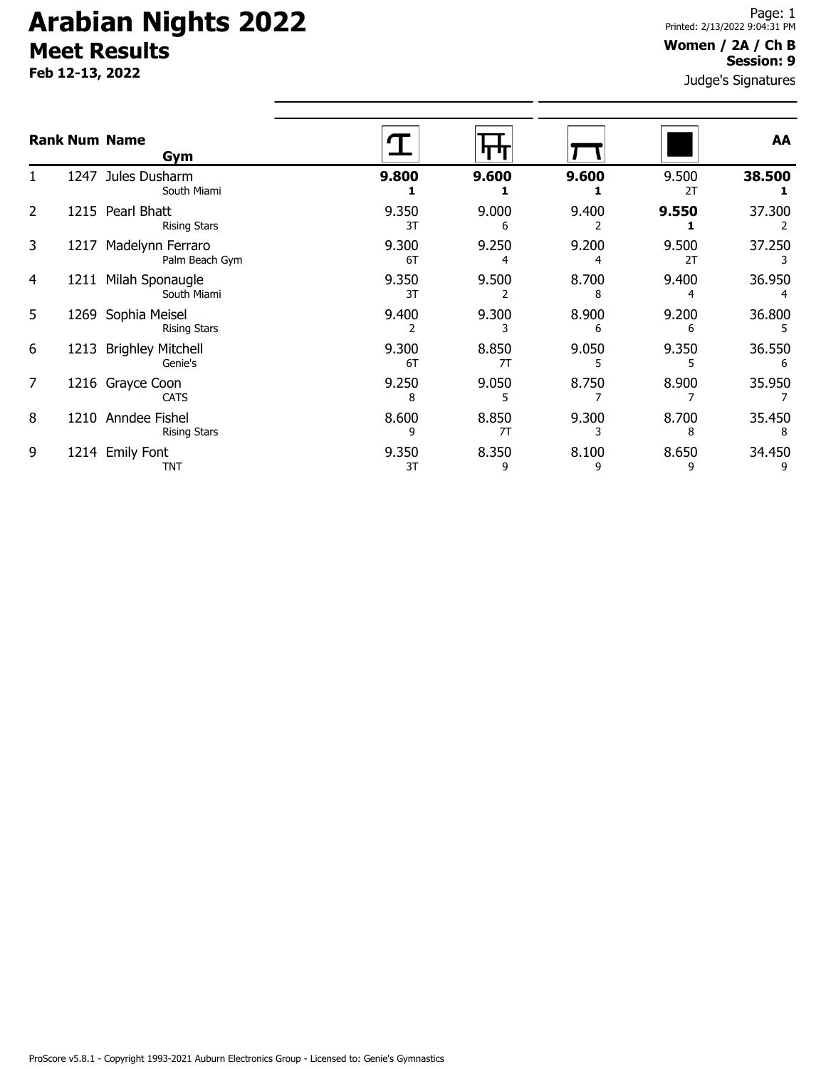**Feb 12-13, 2022**

#### **Women / 2A / Ch B Session: 9**

|   |      | <b>Rank Num Name</b><br>Gym             |             |             |            |             | AA          |
|---|------|-----------------------------------------|-------------|-------------|------------|-------------|-------------|
|   |      | 1247 Jules Dusharm<br>South Miami       | 9.800       | 9.600       | 9.600      | 9.500<br>2T | 38.500      |
| 2 |      | 1215 Pearl Bhatt<br><b>Rising Stars</b> | 9.350<br>3T | 9.000<br>6  | 9.400      | 9.550       | 37.300      |
| 3 | 1217 | Madelynn Ferraro<br>Palm Beach Gym      | 9.300<br>6T | 9.250       | 9.200      | 9.500<br>2T | 37.250      |
| 4 | 1211 | Milah Sponaugle<br>South Miami          | 9.350<br>3T | 9.500<br>2  | 8.700<br>8 | 9.400       | 36.950      |
| 5 | 1269 | Sophia Meisel<br><b>Rising Stars</b>    | 9.400       | 9.300       | 8.900<br>6 | 9.200<br>6  | 36.800      |
| 6 | 1213 | <b>Brighley Mitchell</b><br>Genie's     | 9.300<br>6T | 8.850<br>7T | 9.050<br>5 | 9.350       | 36.550<br>6 |
| 7 |      | 1216 Grayce Coon<br><b>CATS</b>         | 9.250<br>8  | 9.050       | 8.750      | 8.900       | 35.950      |
| 8 | 1210 | Anndee Fishel<br><b>Rising Stars</b>    | 8.600<br>9  | 8.850<br>7T | 9.300      | 8.700<br>8  | 35.450      |
| 9 |      | 1214 Emily Font<br><b>TNT</b>           | 9.350<br>3T | 8.350<br>9  | 8.100<br>9 | 8.650<br>9  | 34.450      |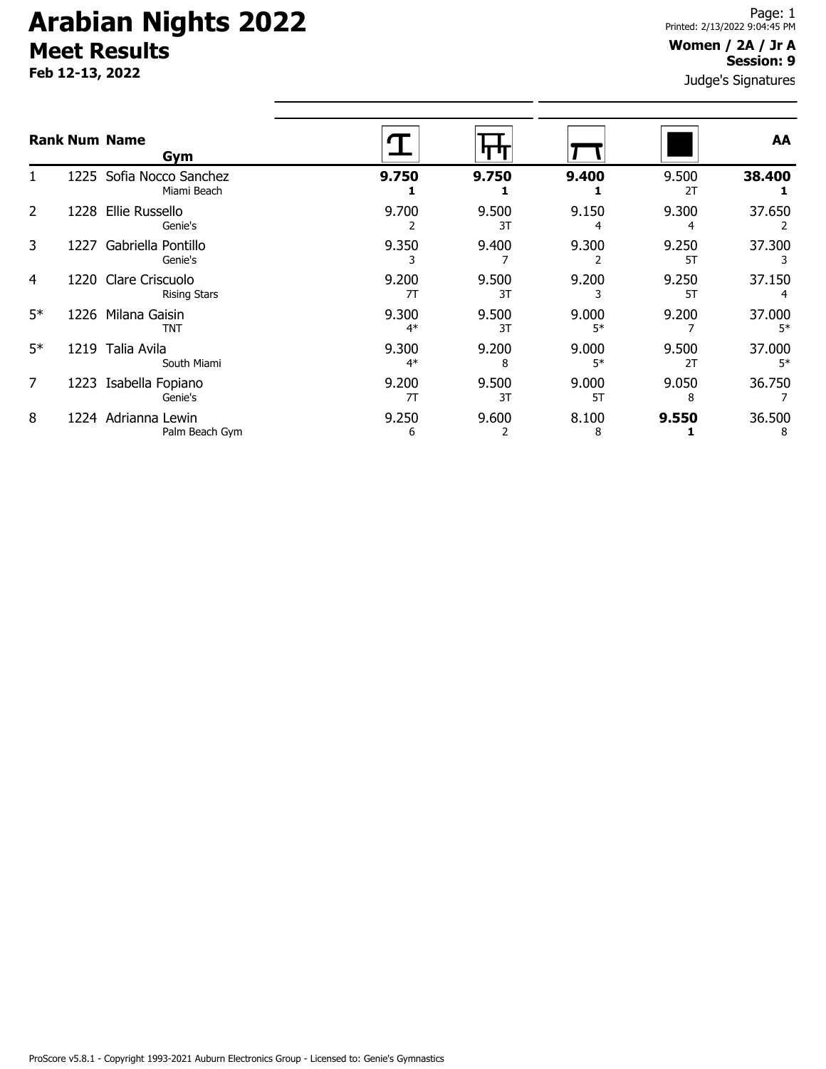**Feb 12-13, 2022**

#### **Women / 2A / Jr A Session: 9**

|                |      | <b>Rank Num Name</b><br>Gym                 |               |             |               |             | AA             |
|----------------|------|---------------------------------------------|---------------|-------------|---------------|-------------|----------------|
|                |      | 1225 Sofia Nocco Sanchez<br>Miami Beach     | 9.750         | 9.750       | 9.400         | 9.500<br>2T | 38.400         |
| 2              | 1228 | Ellie Russello<br>Genie's                   | 9.700<br>2    | 9.500<br>3T | 9.150<br>4    | 9.300<br>4  | 37.650         |
| 3              | 1227 | Gabriella Pontillo<br>Genie's               | 9.350         | 9.400       | 9.300         | 9.250<br>5T | 37.300         |
| 4              |      | 1220 Clare Criscuolo<br><b>Rising Stars</b> | 9.200<br>7T   | 9.500<br>3T | 9.200         | 9.250<br>5T | 37.150         |
| $5*$           |      | 1226 Milana Gaisin<br><b>TNT</b>            | 9.300<br>$4*$ | 9.500<br>3T | 9.000<br>$5*$ | 9.200       | 37.000<br>$5*$ |
| $5*$           |      | 1219 Talia Avila<br>South Miami             | 9.300<br>$4*$ | 9.200<br>8  | 9.000<br>$5*$ | 9.500<br>2T | 37.000<br>$5*$ |
| $\overline{7}$ |      | 1223 Isabella Fopiano<br>Genie's            | 9.200<br>7T   | 9.500<br>3T | 9.000<br>5T   | 9.050<br>8  | 36.750         |
| 8              |      | 1224 Adrianna Lewin<br>Palm Beach Gym       | 9.250<br>6    | 9.600       | 8.100<br>8    | 9.550       | 36.500<br>8    |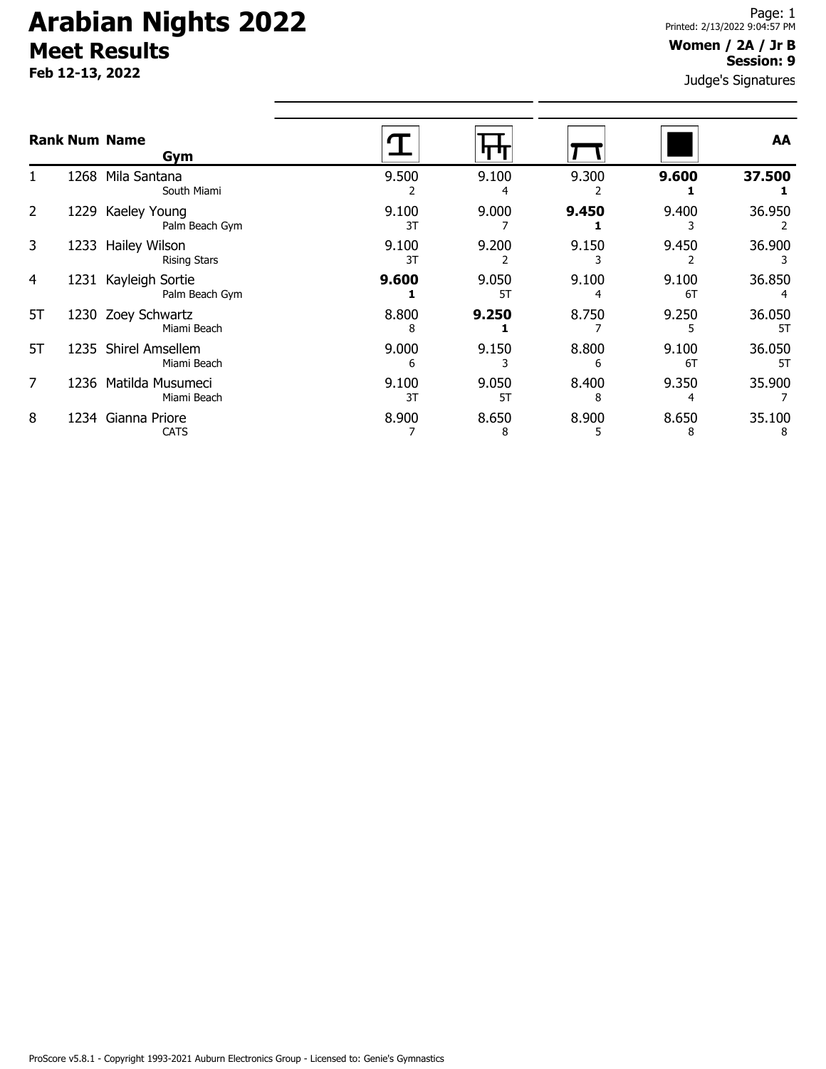**Feb 12-13, 2022**

#### **Women / 2A / Jr B Session: 9**

|                |      | <b>Rank Num Name</b><br>Gym           |             |             |            |             | AA           |
|----------------|------|---------------------------------------|-------------|-------------|------------|-------------|--------------|
|                | 1268 | Mila Santana<br>South Miami           | 9.500       | 9.100<br>4  | 9.300      | 9.600       | 37.500       |
| $\overline{2}$ | 1229 | Kaeley Young<br>Palm Beach Gym        | 9.100<br>3T | 9.000       | 9.450      | 9.400       | 36.950       |
| 3              | 1233 | Hailey Wilson<br><b>Rising Stars</b>  | 9.100<br>3T | 9.200       | 9.150      | 9.450       | 36.900       |
| 4              | 1231 | Kayleigh Sortie<br>Palm Beach Gym     | 9.600       | 9.050<br>5T | 9.100<br>4 | 9.100<br>6T | 36.850       |
| 5T             |      | 1230 Zoey Schwartz<br>Miami Beach     | 8.800<br>8  | 9.250       | 8.750      | 9.250       | 36.050<br>5T |
| 5T             | 1235 | <b>Shirel Amsellem</b><br>Miami Beach | 9.000<br>6  | 9.150       | 8.800<br>6 | 9.100<br>6T | 36.050<br>5T |
| 7              | 1236 | Matilda Musumeci<br>Miami Beach       | 9.100<br>3T | 9.050<br>5T | 8.400<br>8 | 9.350<br>4  | 35.900       |
| 8              | 1234 | Gianna Priore<br><b>CATS</b>          | 8.900       | 8.650<br>8  | 8.900<br>5 | 8.650<br>8  | 35.100<br>8  |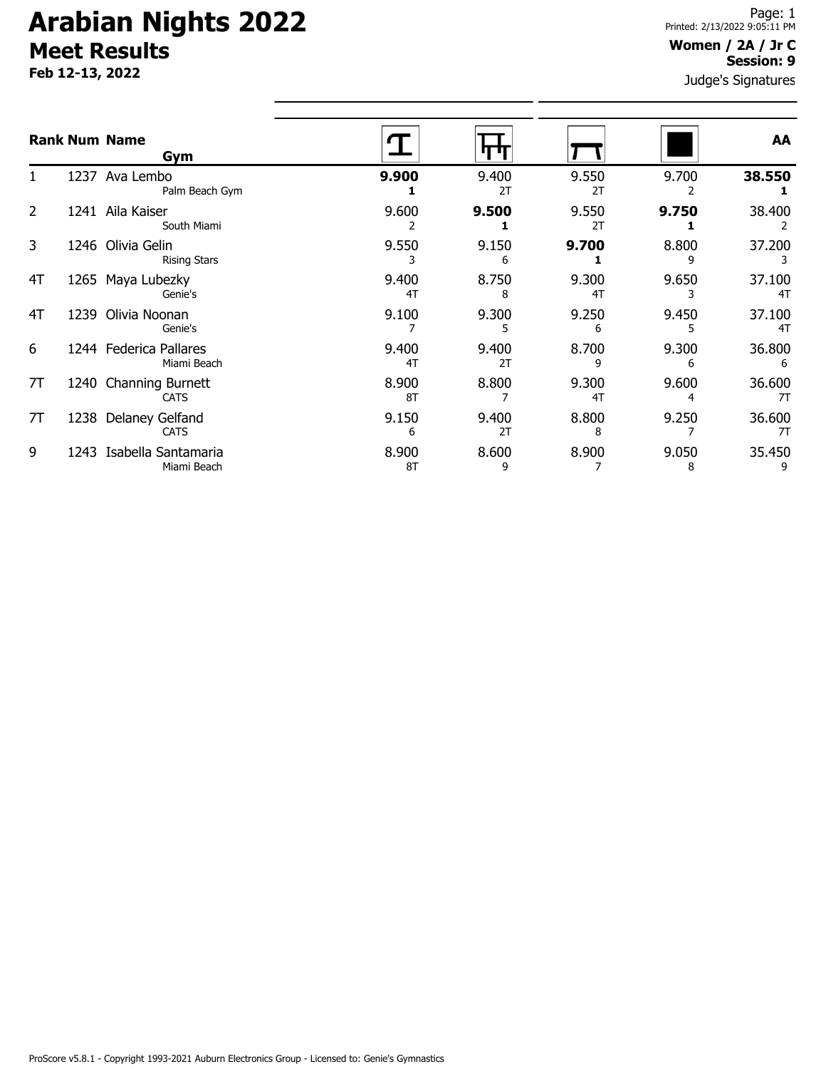**Feb 12-13, 2022**

#### **Women / 2A / Jr C Session: 9**

|                |      | <b>Rank Num Name</b><br>Gym           |             |             |             |            | AA           |
|----------------|------|---------------------------------------|-------------|-------------|-------------|------------|--------------|
|                |      | 1237 Ava Lembo<br>Palm Beach Gym      | 9.900       | 9.400<br>2T | 9.550<br>2T | 9.700      | 38.550       |
| $\overline{2}$ | 1241 | Aila Kaiser<br>South Miami            | 9.600       | 9.500       | 9.550<br>2T | 9.750      | 38.400       |
| 3              | 1246 | Olivia Gelin<br><b>Rising Stars</b>   | 9.550       | 9.150<br>6  | 9.700       | 8.800<br>٩ | 37.200       |
| 4T             | 1265 | Maya Lubezky<br>Genie's               | 9.400<br>4T | 8.750<br>8  | 9.300<br>4T | 9.650      | 37.100<br>4T |
| 4T             | 1239 | Olivia Noonan<br>Genie's              | 9.100       | 9.300<br>5  | 9.250<br>6  | 9.450      | 37.100<br>4T |
| 6              |      | 1244 Federica Pallares<br>Miami Beach | 9.400<br>4T | 9.400<br>2T | 8.700<br>9  | 9.300<br>6 | 36.800<br>6  |
| 7T             | 1240 | Channing Burnett<br><b>CATS</b>       | 8.900<br>8T | 8.800       | 9.300<br>4T | 9.600<br>4 | 36.600<br>7T |
| 7T             | 1238 | Delaney Gelfand<br><b>CATS</b>        | 9.150<br>6  | 9.400<br>2T | 8.800<br>8  | 9.250      | 36.600<br>7T |
| 9              | 1243 | Isabella Santamaria<br>Miami Beach    | 8.900<br>8T | 8.600<br>9  | 8.900       | 9.050<br>8 | 35.450       |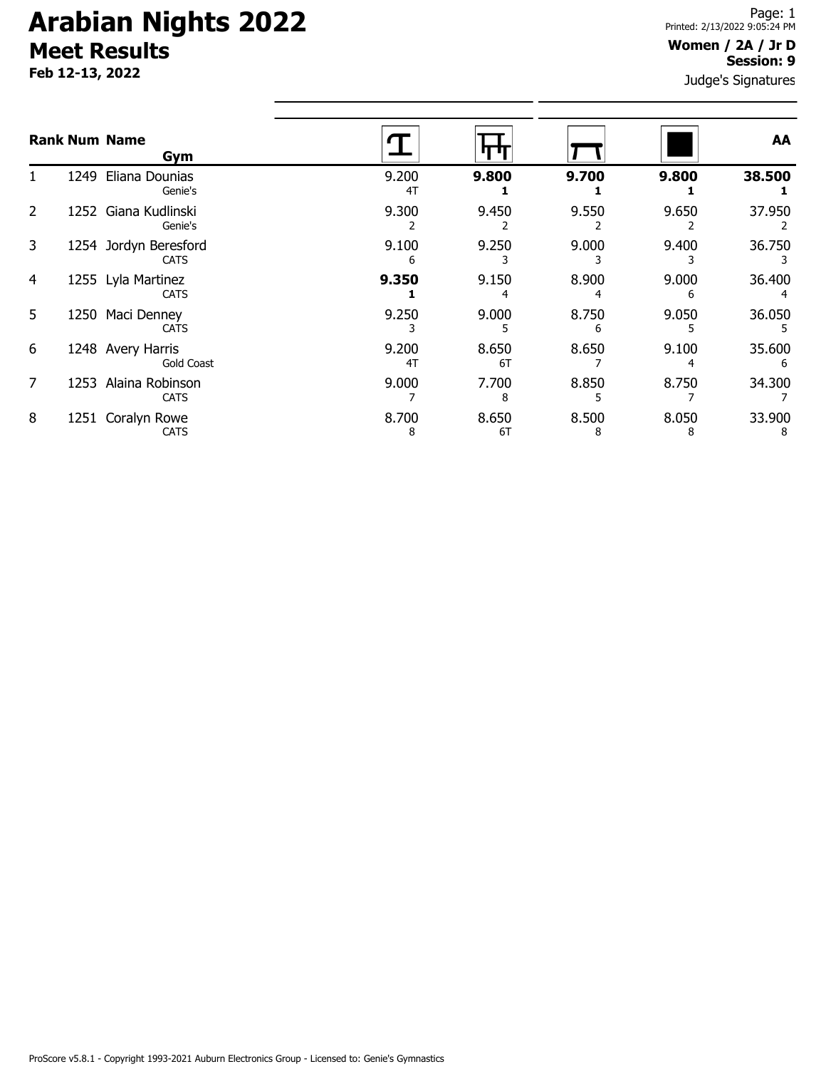**Feb 12-13, 2022**

#### **Women / 2A / Jr D Session: 9**

|   |      | <b>Rank Num Name</b><br>Gym            |             |             |            |            | AA          |
|---|------|----------------------------------------|-------------|-------------|------------|------------|-------------|
|   | 1249 | Eliana Dounias<br>Genie's              | 9.200<br>4T | 9.800       | 9.700      | 9.800      | 38.500      |
| 2 |      | 1252 Giana Kudlinski<br>Genie's        | 9.300       | 9.450       | 9.550      | 9.650      | 37.950      |
| 3 |      | 1254 Jordyn Beresford<br><b>CATS</b>   | 9.100<br>6  | 9.250       | 9.000      | 9.400      | 36.750      |
| 4 |      | 1255 Lyla Martinez<br><b>CATS</b>      | 9.350       | 9.150       | 8.900      | 9.000<br>6 | 36.400      |
| 5 | 1250 | Maci Denney<br><b>CATS</b>             | 9.250       | 9.000       | 8.750<br>6 | 9.050      | 36.050      |
| 6 |      | 1248 Avery Harris<br><b>Gold Coast</b> | 9.200<br>4T | 8.650<br>6T | 8.650      | 9.100      | 35.600<br>6 |
| 7 | 1253 | Alaina Robinson<br><b>CATS</b>         | 9.000       | 7.700<br>8  | 8.850      | 8.750      | 34.300      |
| 8 | 1251 | Coralyn Rowe<br><b>CATS</b>            | 8.700<br>8  | 8.650<br>6T | 8.500<br>8 | 8.050<br>8 | 33.900<br>8 |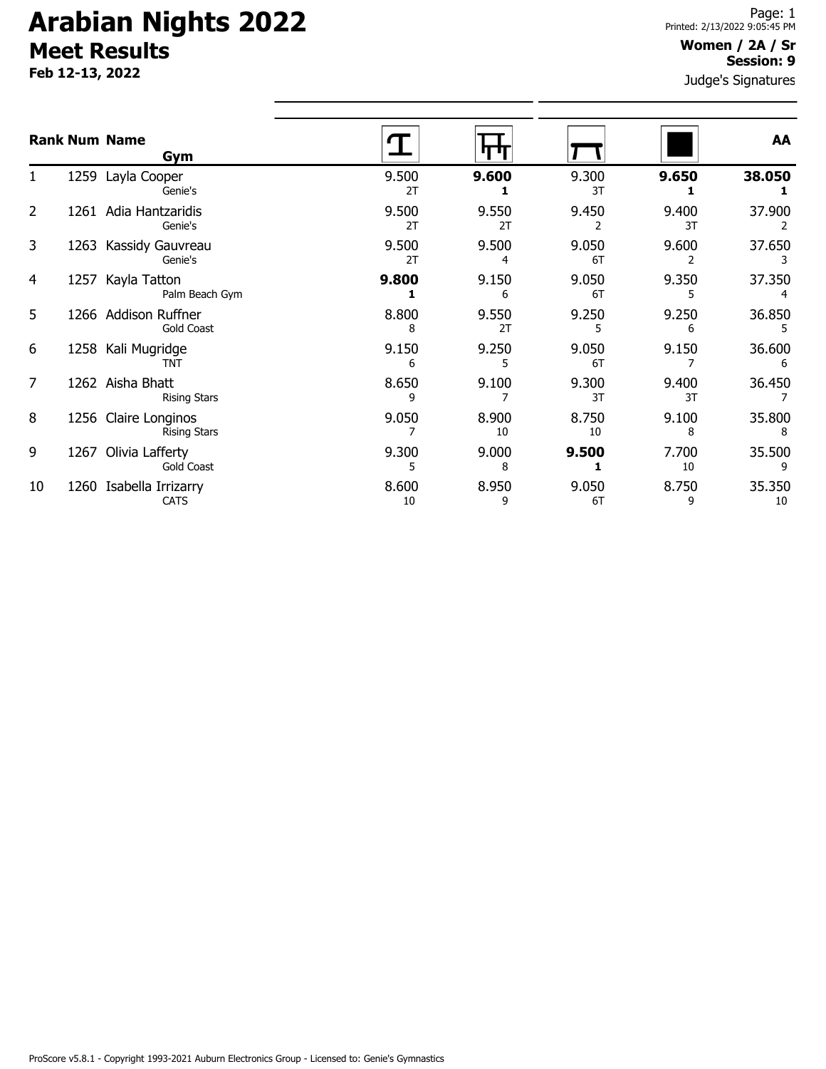**Feb 12-13, 2022**

#### **Women / 2A / Sr Session: 9**

|                |      | <b>Rank Num Name</b><br>Gym                 |             |             |             |             | AA           |
|----------------|------|---------------------------------------------|-------------|-------------|-------------|-------------|--------------|
| 1              |      | 1259 Layla Cooper<br>Genie's                | 9.500<br>2T | 9.600       | 9.300<br>3T | 9.650       | 38.050       |
| $\overline{2}$ |      | 1261 Adia Hantzaridis<br>Genie's            | 9.500<br>2T | 9.550<br>2T | 9.450<br>2  | 9.400<br>3T | 37.900       |
| 3              |      | 1263 Kassidy Gauvreau<br>Genie's            | 9.500<br>2T | 9.500<br>4  | 9.050<br>6T | 9.600       | 37.650       |
| 4              |      | 1257 Kayla Tatton<br>Palm Beach Gym         | 9.800       | 9.150<br>6  | 9.050<br>6T | 9.350<br>5  | 37.350       |
| 5              |      | 1266 Addison Ruffner<br><b>Gold Coast</b>   | 8.800<br>8  | 9.550<br>2T | 9.250<br>5  | 9.250<br>6  | 36.850<br>5  |
| 6              |      | 1258 Kali Mugridge<br>TNT                   | 9.150<br>6  | 9.250<br>5  | 9.050<br>6T | 9.150       | 36.600<br>6  |
| 7              |      | 1262 Aisha Bhatt<br><b>Rising Stars</b>     | 8.650<br>٩  | 9.100       | 9.300<br>3T | 9.400<br>3T | 36.450       |
| 8              |      | 1256 Claire Longinos<br><b>Rising Stars</b> | 9.050       | 8.900<br>10 | 8.750<br>10 | 9.100<br>8  | 35.800<br>8  |
| 9              | 1267 | Olivia Lafferty<br>Gold Coast               | 9.300<br>5  | 9.000<br>8  | 9.500       | 7.700<br>10 | 35.500<br>9  |
| 10             |      | 1260 Isabella Irrizarry<br><b>CATS</b>      | 8.600<br>10 | 8.950<br>9  | 9.050<br>6T | 8.750<br>9  | 35.350<br>10 |